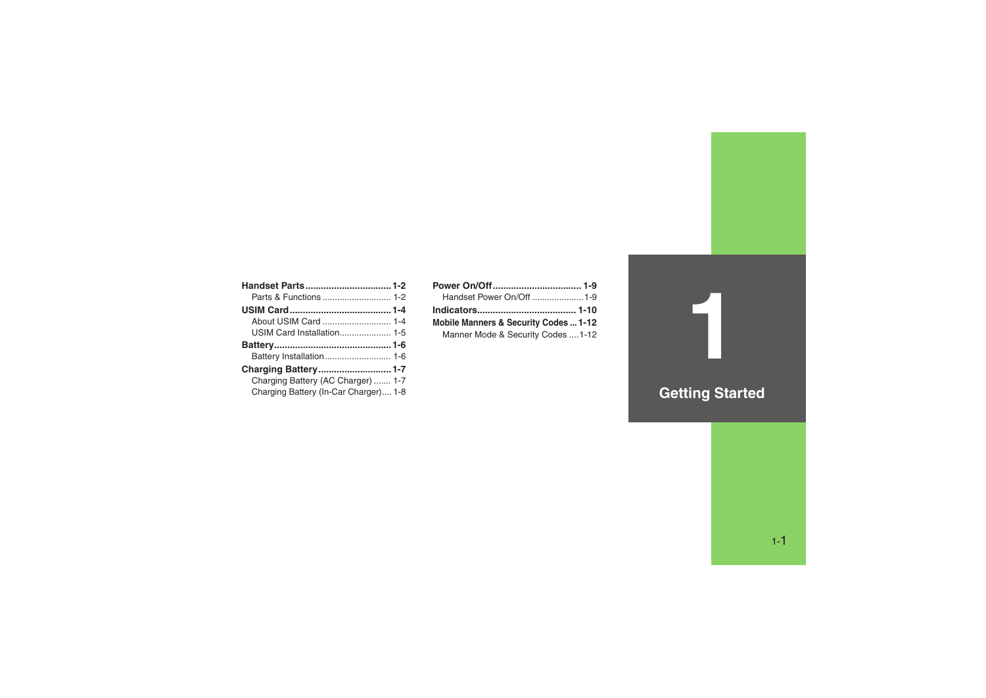| About USIM Card  1-4                  |  |
|---------------------------------------|--|
|                                       |  |
|                                       |  |
|                                       |  |
|                                       |  |
| Charging Battery (AC Charger)  1-7    |  |
| Charging Battery (In-Car Charger) 1-8 |  |
|                                       |  |

| Handset Power On/Off 1-9              |  |
|---------------------------------------|--|
|                                       |  |
| Mobile Manners & Security Codes  1-12 |  |
| Manner Mode & Security Codes  1-12    |  |

# **Getting Started**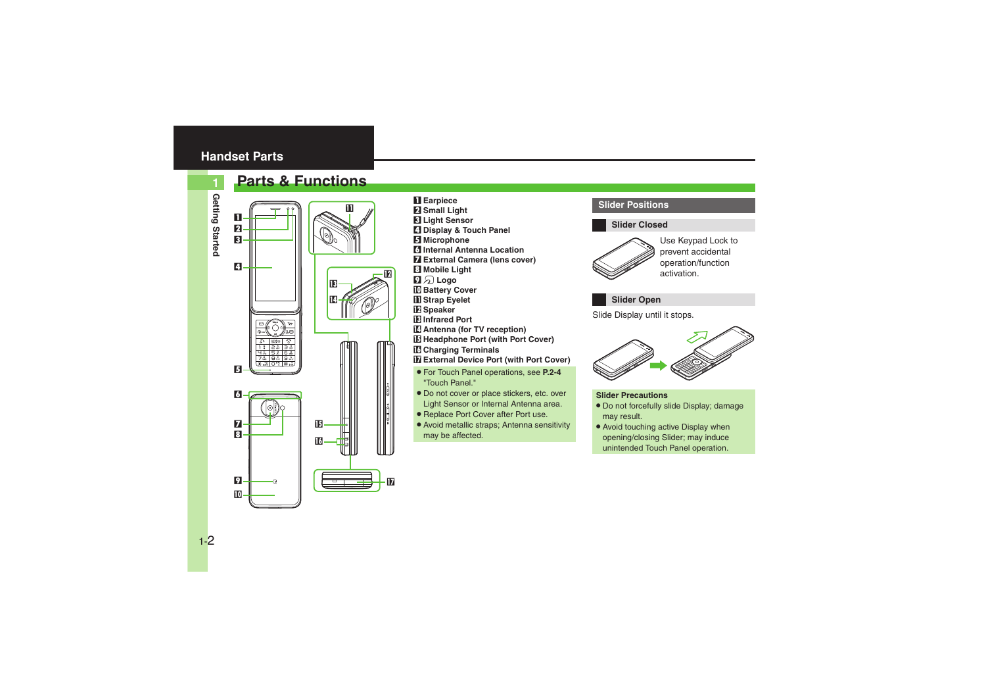# <span id="page-1-0"></span>**Handset Parts**

## <span id="page-1-1"></span>**Parts & Functions**

**1**



- 1 **Earpiece**
- 2 **Small Light**
- 3 **Light Sensor**
- 4 **Display & Touch Panel**
- 5 **Microphone**
- 6 **Internal Antenna Location**
- 7 **External Camera (lens cover)**
- 8 **Mobile Light**
- **D**<sub>2</sub> Logo
- **10 Battery Cover**
- **D** Strap Eyelet
- c **Speaker**

 $\overline{\mathbf{v}}$ 

 $\overline{12}$ 

- d **Infrared Port**
- **E** Antenna (for TV reception)
- **E Headphone Port (with Port Cover)**
- g **Charging Terminals**
- **H** External Device Port (with Port Cover)
- . For Touch Panel operations, see **P.2-4** "Touch Panel."
- . Do not cover or place stickers, etc. over Light Sensor or Internal Antenna area.
- . Replace Port Cover after Port use.
- . Avoid metallic straps; Antenna sensitivity may be affected.

### **Slider Positions**

#### **Slider Closed**



Use Keypad Lock to prevent accidental operation/function activation.

### **Slider Open**

Slide Display until it stops.



#### **Slider Precautions**

- . Do not forcefully slide Display; damage may result.
- Avoid touching active Display when opening/closing Slider; may induce unintended Touch Panel operation.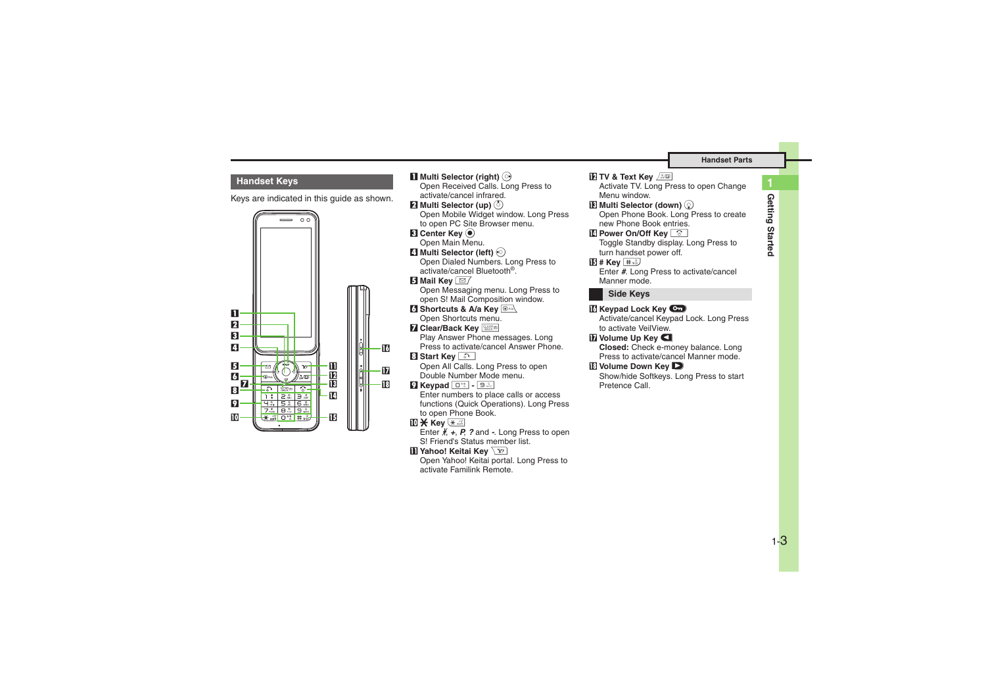### **Handset Keys**

Keys are indicated in this guide as shown.



16 h**i**B **1** Multi Selector (right)  $\odot$ Open Received Calls. Long Press to activate/cancel infrared.2 **Multi Selector (up)**  a Open Mobile Widget window. Long Press to open PC Site Browser menu. **8** Center Key  $\odot$ Open Main Menu. 4 **Multi Selector (left)**  c Open Dialed Numbers. Long Press to activate/cancel Bluetooth®.5 **Mail Key**  B Open Messaging menu. Long Press to open S! Mail Composition window. **6 Shortcuts & A/a Key RANG**  Open Shortcuts menu. **7 Clear/Back Key**  Play Answer Phone messages. Long Press to activate/cancel Answer Phone.8 **Start Key**  ! Open All Calls. Long Press to open Double Number Mode menu.9 **Keypad**  0 **-** 9 Enter numbers to place calls or access functions (Quick Operations). Long Press to open Phone Book. an **Key**  ( Enter n, *+*, *P*, *?* and *-*. Long Press to open S! Friend's Status member list. **b** Yahoo! Keitai Key  $\sqrt{x}$  Open Yahoo! Keitai portal. Long Press to activate Familink Remote.

 $\blacksquare$  TV & Text Key  $\sqrt{300}$  Activate TV. Long Press to open Change Menu window. $\mathbf E$  Multi Selector (down)  $\mathbb Q$ Open Phone Book. Long Press to create new Phone Book entries.**Power On/Off Key**  Toggle Standby display. Long Press to turn handset power off. <u>িট</u> # Key <u>কিউ</u> Enter *#*. Long Press to activate/cancel Manner mode.**Keypad Lock Key**  $\blacksquare$  Activate/cancel Keypad Lock. Long Press to activate VeilView.**h** Volume Up Key **E Closed:** Check e-money balance. Long Press to activate/cancel Manner mode.**E** Volume Down Key  $\blacksquare$  Show/hide Softkeys. Long Press to start Pretence Call.**Side Keys**

1-3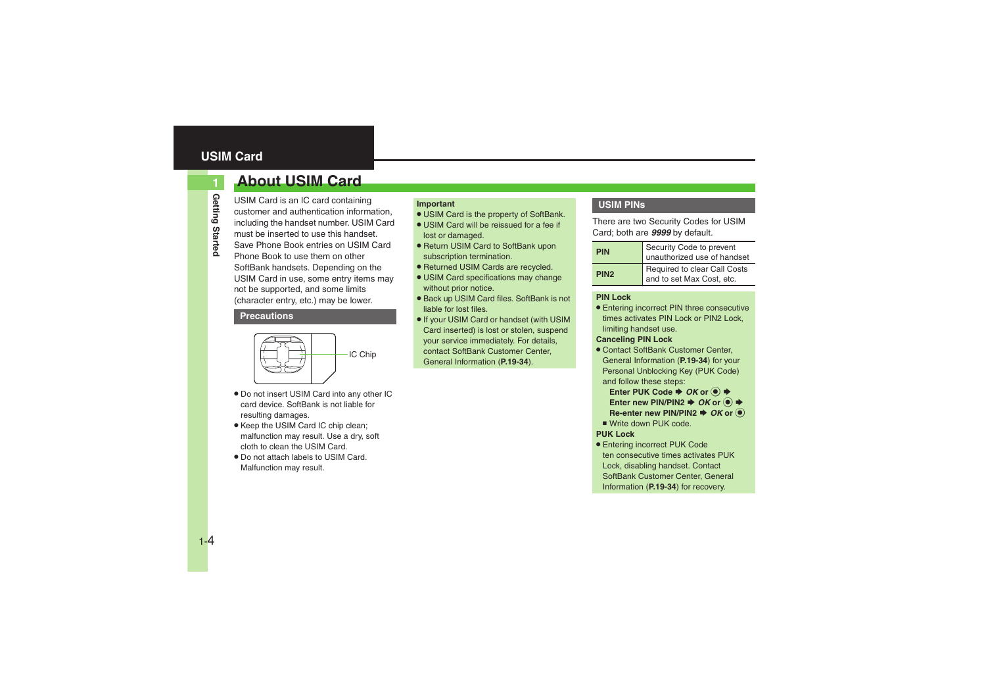# <span id="page-3-1"></span><span id="page-3-0"></span>**About USIM Card**

USIM Card is an IC card containing customer and authentication information, including the handset number. USIM Card must be inserted to use this handset.Save Phone Book entries on USIM Card Phone Book to use them on other SoftBank handsets. Depending on the USIM Card in use, some entry items may not be supported, and some limits (character entry, etc.) may be lower.

#### **Precautions**



- . Do not insert USIM Card into any other IC card device. SoftBank is not liable for resulting damages.
- Keep the USIM Card IC chip clean; malfunction may result. Use a dry, soft cloth to clean the USIM Card.
- . Do not attach labels to USIM Card. Malfunction may result.

#### **Important**

- . USIM Card is the property of SoftBank.
- . USIM Card will be reissued for a fee if lost or damaged.
- Return USIM Card to SoftBank upon subscription termination.
- . Returned USIM Cards are recycled.
- USIM Card specifications may change without prior notice.
- Back up USIM Card files. SoftBank is not liable for lost files.
- . If your USIM Card or handset (with USIM Card inserted) is lost or stolen, suspend your service immediately. For details, contact SoftBank Customer Center, General Information (**P.19-34**).

### **USIM PINs**

There are two Security Codes for USIM Card; both are *9999* by default.

| <b>PIN</b>       | Security Code to prevent<br>unauthorized use of handset   |
|------------------|-----------------------------------------------------------|
| PIN <sub>2</sub> | Required to clear Call Costs<br>and to set Max Cost, etc. |

#### **PIN Lock**

. Entering incorrect PIN three consecutive times activates PIN Lock or PIN2 Lock, limiting handset use.

#### **Canceling PIN Lock**

- . Contact SoftBank Customer Center, General Information (**P.19-34**) for your Personal Unblocking Key (PUK Code) and follow these steps:
	- **Enter PUK Code ♦ OK or ♦** Enter new PIN/PIN2  $\blacktriangleright$  *OK* or  $\textcircled{\scriptsize{\bullet}}$ **Re-enter new PIN/PIN2**  $\blacktriangleright$  **OK** or  $\textcircled{\small{\bullet}}$
- Write down PUK code.

#### **PUK Lock**

. Entering incorrect PUK Code ten consecutive times activates PUK Lock, disabling handset. Contact SoftBank Customer Center, General Information (**P.19-34**) for recovery.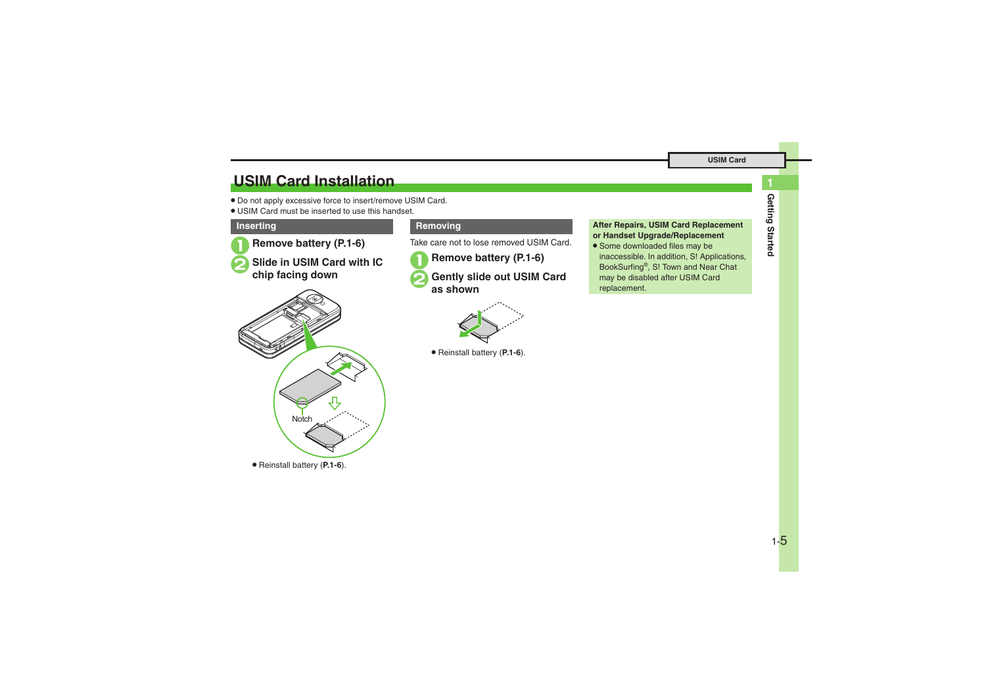# <span id="page-4-0"></span>**USIM Card Installation**

- . Do not apply excessive force to insert/remove USIM Card.
- . USIM Card must be inserted to use this handset.

#### **Inserting**

1**Remove battery [\(P.1-6\)](#page-5-1)**

<sup>2</sup>**Slide in USIM Card with IC chip facing down**



Take care not to lose removed USIM Card.

1**Remove battery [\(P.1-6\)](#page-5-1)** 2**Gently slide out USIM Card as shown**

. Reinstall battery (**[P.1-6](#page-5-1)**).

#### **Removing <b>After Repairs**, USIM Card Replacement **or Handset Upgrade/Replacement**

• Some downloaded files may be inaccessible. In addition, S! Applications, BookSurfing®, S! Town and Near Chat may be disabled after USIM Card replacement.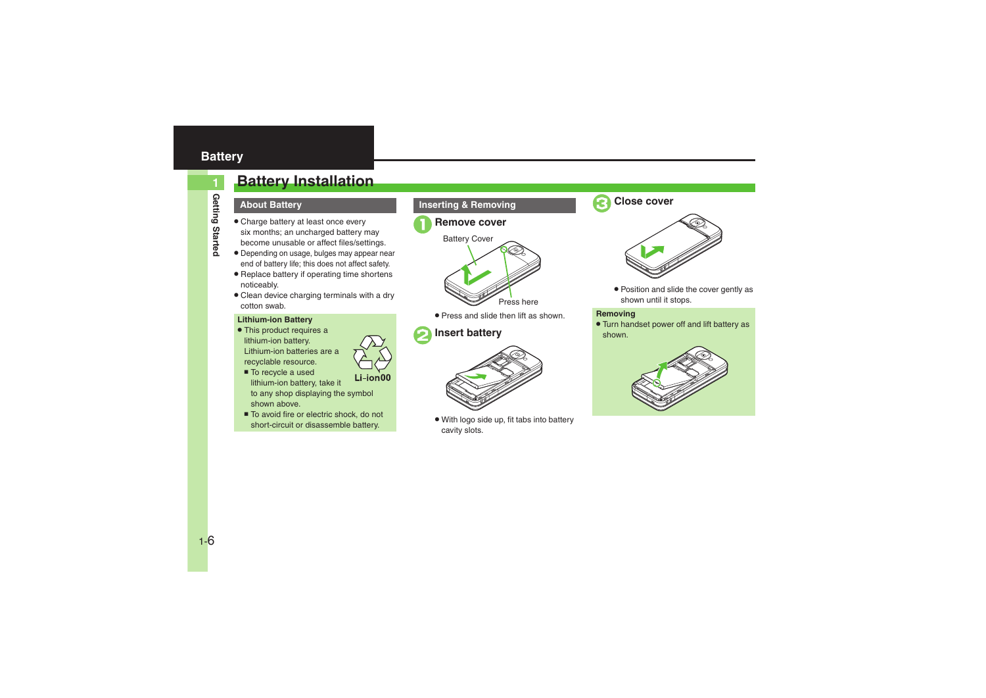# <span id="page-5-0"></span>**Battery**

**Getting Started**

Getting Startec

**1**

# <span id="page-5-1"></span>**Battery Installation**

# **About Battery**

- . Charge battery at least once every six months; an uncharged battery may become unusable or affect files/settings.
- . Depending on usage, bulges may appear near end of battery life; this does not affect safety.
- . Replace battery if operating time shortens noticeably.
- . Clean device charging terminals with a dry cotton swab.

#### **Lithium-ion Battery**

• This product requires a lithium-ion battery. Lithium-ion batteries are a recyclable resource.



■ To recycle a used Li-ion00 lithium-ion battery, take it

to any shop displaying the symbol shown above.

■ To avoid fire or electric shock, do not short-circuit or disassemble battery.

### **Inserting & Removing**





. Press and slide then lift as shown.

# <span id="page-5-2"></span>2**Insert battery**



. With logo side up, fit tabs into battery cavity slots.







. Position and slide the cover gently as shown until it stops.

#### **Removing**

. Turn handset power off and lift battery as shown.

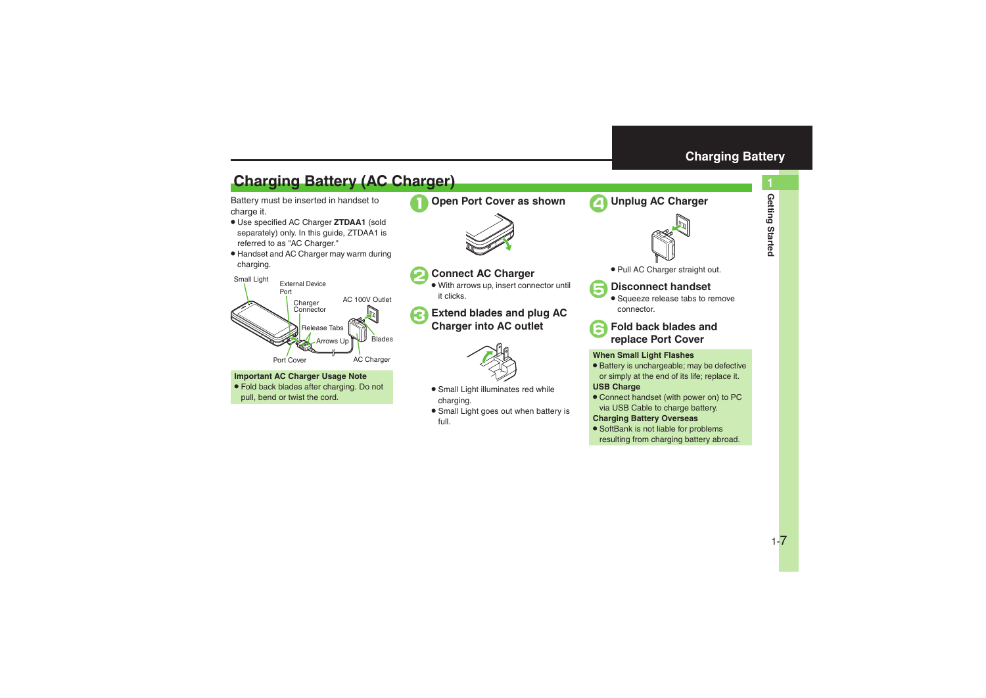# <span id="page-6-1"></span>**Charging Battery (AC Charger)**

Battery must be inserted in handset to charge it.

- . Use specified AC Charger **ZTDAA1** (sold separately) only. In this guide, ZTDAA1 is referred to as "AC Charger."
- . Handset and AC Charger may warm during charging.



#### **Important AC Charger Usage Note**

. Fold back blades after charging. Do not pull, bend or twist the cord.



1**Open Port Cover as shown**



# 2**Connect AC Charger**

. With arrows up, insert connector until it clicks.

# <sup>3</sup>**Extend blades and plug AC Charger into AC outlet**



- . Small Light illuminates red while charging.
- . Small Light goes out when battery is full.



<span id="page-6-0"></span>4**Unplug AC Charger**



. Pull AC Charger straight out.



## 5**Disconnect handset**

**•** Squeeze release tabs to remove connector.

<sup>6</sup>**Fold back blades and replace Port Cover**

### **When Small Light Flashes**

. Battery is unchargeable; may be defective or simply at the end of its life; replace it.

#### **USB Charge**

. Connect handset (with power on) to PC via USB Cable to charge battery.

### **Charging Battery Overseas**

• SoftBank is not liable for problems resulting from charging battery abroad.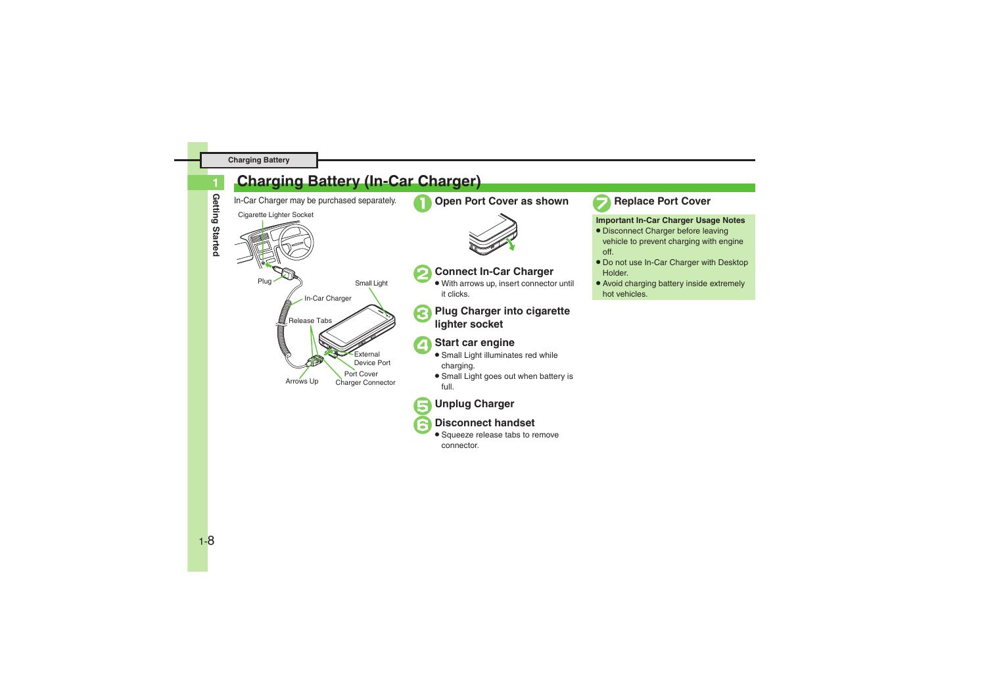**Getting Started**

Getting Startec

**1**

# <span id="page-7-0"></span>**Charging Battery (In-Car Charger)**

In-Car Charger may be purchased separately. **1 Open Port Cover as shown** 





# 2**Connect In-Car Charger** .

 With arrows up, insert connector until it clicks.

# <sup>3</sup>**Plug Charger into cigarette lighter socket**

# **Start car engine**

- Small Light illuminates red while charging.
- **•** Small Light goes out when battery is full.

# 5**Unplug Charger**

# 6**Disconnect handset** .

 Squeeze release tabs to remove connector.



### 7**Replace Port Cover**

#### **Important In-Car Charger Usage Notes**

- . Disconnect Charger before leaving vehicle to prevent charging with engine off.
- Do not use In-Car Charger with Desktop Holder.
- . Avoid charging battery inside extremely hot vehicles.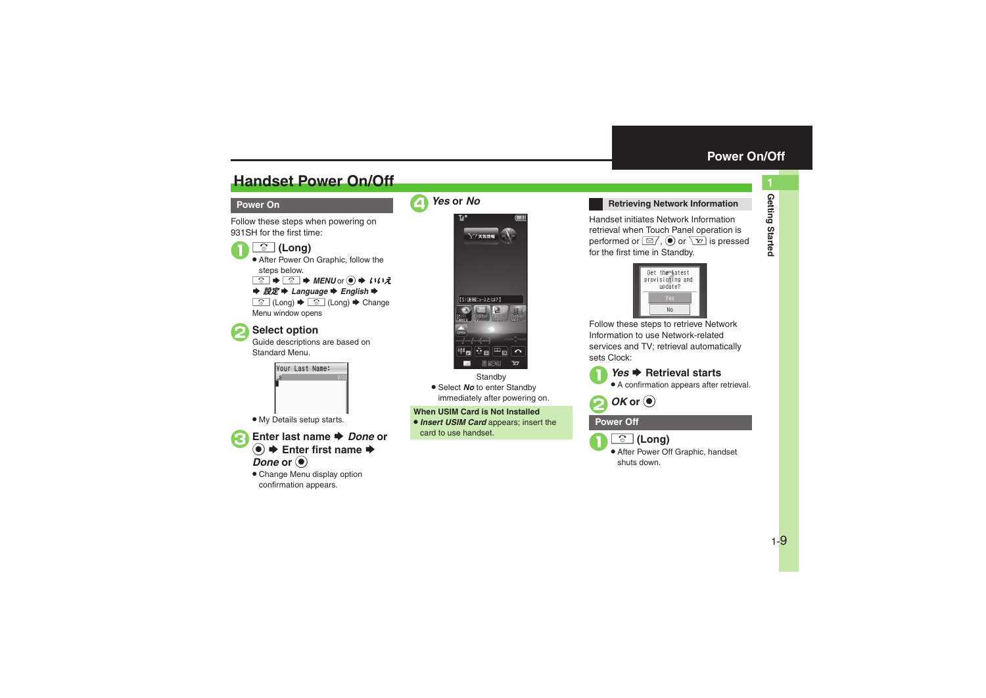# <span id="page-8-1"></span>**Handset Power On/Off**

#### **Power On**

Follow these steps when powering on 931SH for the first time:

### " **(Long)**

. After Power On Graphic, follow the steps below.

 $\boxed{\circledcirc}$   $\Rightarrow$   $\boxed{\circledcirc}$   $\Rightarrow$  MENU or  $\circledcirc$   $\Rightarrow$  111 $\bar{z}$ **→ 設定 → Language → English →** <u>**s**</u> (Long)  $\rightarrow$  **s** (Long)  $\rightarrow$  Change

Menu window opens

 $\mathbf 0$ 

**Select option**<br>Guide descriptions are based on Standard Menu.



. My Details setup starts.

3**Enter last name**  S *Done* **or <sup>●</sup> Enter first name**  $\rightarrow$  $\bm{\mathit{Done}}$  or  $\textcircled{\scriptsize{\bullet}}$ 

> . Change Menu display option confirmation appears.





**Standby** . Select *No* to enter Standby immediately after powering on.

**When USIM Card is Not Installed**. *Insert USIM Card* appears; insert the

card to use handset.

#### <span id="page-8-0"></span>**Retrieving Network Information**

Handset initiates Network Information retrieval when Touch Panel operation is performed or  $\boxed{\cong}$ ,  $\boxed{\odot}$  or  $\boxed{\mathbf{Y}}$  is pressed for the first time in Standby.



Follow these steps to retrieve Network Information to use Network-related services and TV; retrieval automatically sets Clock:

↑ *Yes* ♦ Retrieval starts

. A confirmation appears after retrieval.

2*OK* **or**  %

#### **Power Off**



" **(Long)**

. After Power Off Graphic, handset shuts down.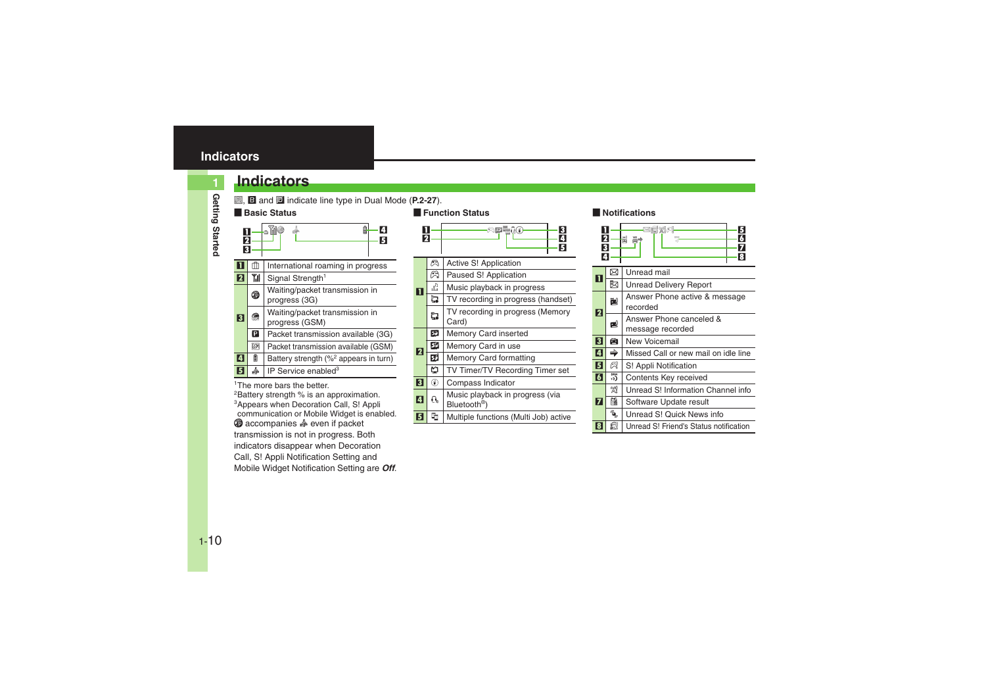# <span id="page-9-0"></span>**Indicators**

# **Indicators**

**k, B** and **i** indicate line type in Dual Mode (**P.2-27**).

#### [ **Basic Status** înd 4п dh Й 2 53International roaming in progress 1**Yil** Signal Strength<sup>1</sup> 2 11 Waiting/packet transmission in<br>progress (3G)  $\circledR$  Waiting/packet transmission in progress (GSM) **e** 3 Packet transmission available (3G) P<sub>1</sub> **GSM**  Packet transmission available (GSM)  $\Box$  Battery strength (%<sup>2</sup> appears in turn) 45IP Service enabled $3$

<sup>1</sup>The more hars the better

<sup>2</sup>Battery strength % is an approximation. 3Appears when Decoration Call, S! Appli communication or Mobile Widget is enabled.  $\circledcirc$  accompanies  $\circledast$  even if packet transmission is not in progress. Both indicators disappear when Decoration Call, S! Appli Notification Setting and Mobile Widget Notification Setting are *Off*.



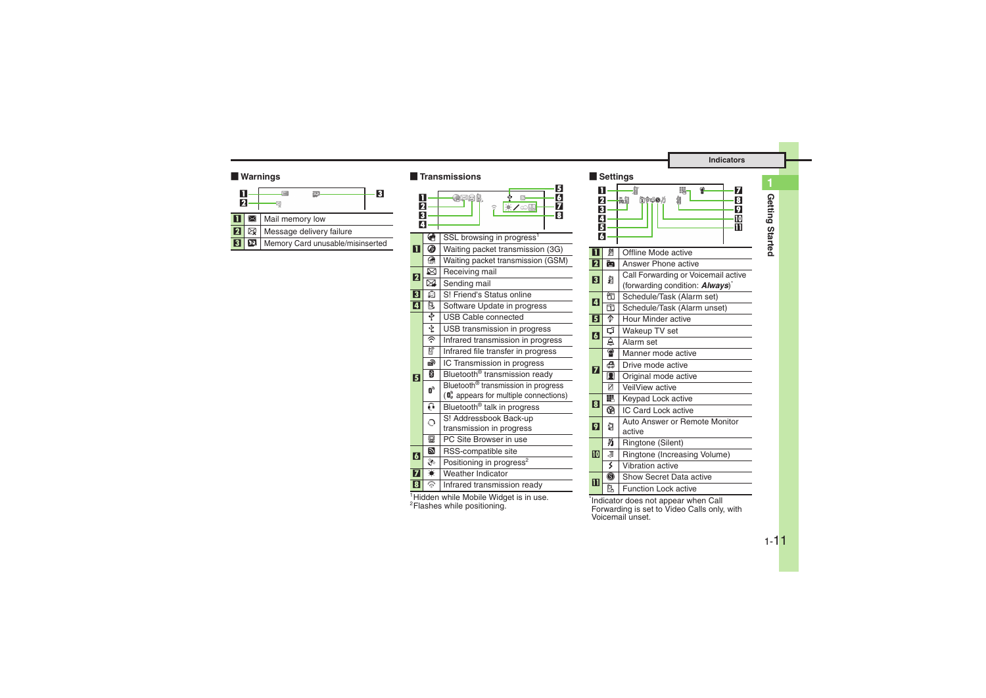| Π | Mail memory low |  |
|---|-----------------|--|
|   |                 |  |

- 2 | 图 | Message delivery failure
- 3**EX** Memory Card unusable/misinserted

|                                    |   | <b>Warnings</b>                                           |                         |                | <b>Transmissions</b>                                                                        |
|------------------------------------|---|-----------------------------------------------------------|-------------------------|----------------|---------------------------------------------------------------------------------------------|
| П<br>$\overline{\mathbf{2}}$<br>11 | ⊠ | $\bowtie$<br>$\overline{3}$<br>國<br>q,<br>Mail memory low | П<br>2<br>3             |                | 6<br>$\boldsymbol{6}$<br>arol.<br>ψ<br>$\mathbb{Z}$<br>※/◎圖<br>7<br>$\overline{\mathbf{3}}$ |
| $\overline{\mathbf{2}}$            | ⊠ | Message delivery failure                                  | A                       |                |                                                                                             |
| $\overline{3}$                     | ø | Memory Card unusable/misinserted                          |                         | ℯ              | SSL browsing in progress <sup>1</sup>                                                       |
|                                    |   |                                                           | П                       | 4              | Waiting packet transmission (3G)                                                            |
|                                    |   |                                                           |                         | இ              | Waiting packet transmission (GSM)                                                           |
|                                    |   |                                                           | 2                       | ⊠              | Receiving mail                                                                              |
|                                    |   |                                                           |                         | ⊠              | Sending mail                                                                                |
|                                    |   |                                                           | 3                       | Ŵ              | S! Friend's Status online                                                                   |
|                                    |   |                                                           | $\overline{a}$          | r.             | Software Update in progress                                                                 |
|                                    |   |                                                           |                         | ♦              | USB Cable connected                                                                         |
|                                    |   |                                                           |                         | ¢              | USB transmission in progress                                                                |
|                                    |   |                                                           |                         | چ              | Infrared transmission in progress                                                           |
|                                    |   |                                                           |                         | 窅              | Infrared file transfer in progress                                                          |
|                                    |   |                                                           |                         | ெ              | IC Transmission in progress                                                                 |
|                                    |   |                                                           | $\overline{5}$          | ∦              | Bluetooth <sup>®</sup> transmission ready                                                   |
|                                    |   |                                                           |                         | $\mathbf{B}_0$ | Bluetooth <sup>®</sup> transmission in progress                                             |
|                                    |   |                                                           |                         |                | $\left(\mathbf{0}\right)$ appears for multiple connections)                                 |
|                                    |   |                                                           |                         | a              | Bluetooth <sup>®</sup> talk in progress                                                     |
|                                    |   |                                                           |                         | റ              | S! Addressbook Back-up                                                                      |
|                                    |   |                                                           |                         |                | transmission in progress                                                                    |
|                                    |   |                                                           |                         | 딯<br>Ð         | PC Site Browser in use                                                                      |
|                                    |   |                                                           | $\overline{6}$          | $\frac{2}{3}$  | RSS-compatible site                                                                         |
|                                    |   |                                                           | $\overline{\mathbf{z}}$ | $\bullet$      | Positioning in progress <sup>2</sup><br>Weather Indicator                                   |
|                                    |   |                                                           |                         | ଛ              |                                                                                             |
|                                    |   |                                                           | $\overline{\mathbf{B}}$ |                | Infrared transmission ready                                                                 |

#### [ **Settings**



<sup>1</sup>Hidden while Mobile Widget is in use.<br><sup>2</sup>Flashes while positioning.

\*Indicator does not appear when Call Forwarding is set to Video Calls only, with Voicemail unset.